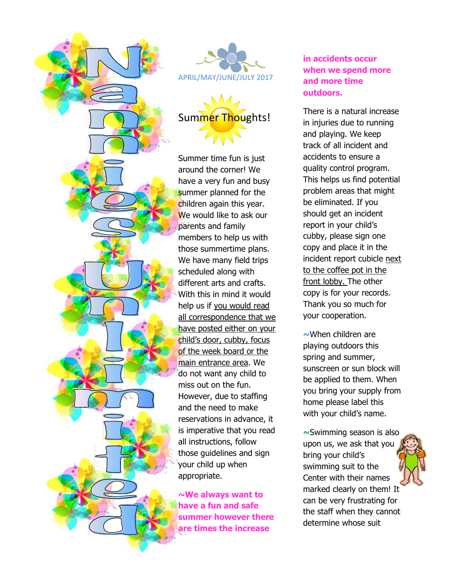



# Summer Thoughts!

Summer time fun is just around the corner! We have a very fun and busy summer planned for the children again this year. We would like to ask our parents and family members to help us with those summertime plans. We have many field trips scheduled along with different arts and crafts. With this in mind it would help us if you would read all correspondence that we have posted either on your child's door, cubby, focus of the week board or the main entrance area. We do not want any child to miss out on the fun. However, due to staffing and the need to make reservations in advance, it is imperative that you read all instructions, follow those guidelines and sign your child up when appropriate.

**~We always want to have a fun and safe summer however there are times the increase**

#### **in accidents occur when we spend more and more time outdoors.**

There is a natural increase in injuries due to running and playing. We keep track of all incident and accidents to ensure a quality control program. This helps us find potential problem areas that might be eliminated. If you should get an incident report in your child's cubby, please sign one copy and place it in the incident report cubicle next to the coffee pot in the front lobby. The other copy is for your records. Thank you so much for your cooperation.

**~**When children are playing outdoors this spring and summer, sunscreen or sun block will be applied to them. When you bring your supply from home please label this with your child's name.

**~**Swimming season is also upon us, we ask that you bring your child's swimming suit to the Center with their names marked clearly on them! It can be very frustrating for the staff when they cannot determine whose suit

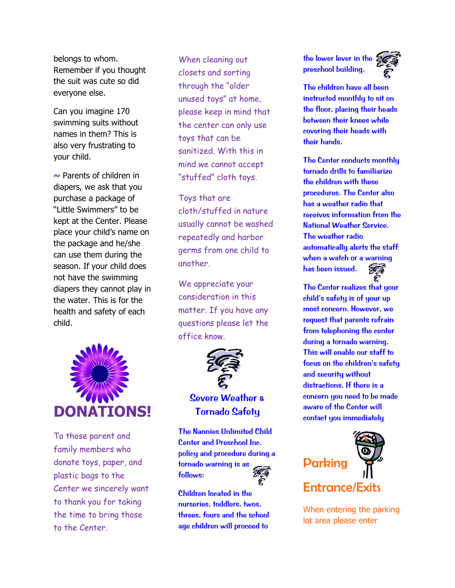belongs to whom. Remember if you thought the suit was cute so did everyone else.

Can you imagine 170 swimming suits without names in them? This is also very frustrating to your child.

**~** Parents of children in diapers, we ask that you purchase a package of "Little Swimmers" to be kept at the Center. Please place your child's name on the package and he/she can use them during the season. If your child does not have the swimming diapers they cannot play in the water. This is for the health and safety of each child.



To those parent and family members who donate toys, paper, and plastic bags to the Center we sincerely want to thank you for taking the time to bring those to the Center.

When cleaning out closets and sorting through the "older unused toys" at home, please keep in mind that the center can only use toys that can be sanitized. With this in mind we cannot accept "stuffed" cloth toys.

Toys that are cloth/stuffed in nature usually cannot be washed repeatedly and harbor germs from one child to another.

We appreciate your consideration in this matter. If you have any questions please let the office know.



### Severe Weather & Tornado Safety

The Nannies Unlimited Child Center and Preschool Inc. policy and procedure during a tornado warning is as follows:

Children located in the nurseries, toddlers, twos, threes, fours and the school age children will proceed to

the lower lever in the preschool building.



The children have all been instructed monthly to sit on the floor, placing their heads between their knees while covering their heads with their hands.

The Center conducts monthly tornado drills to familiarize the children with these procedures. The Center also has a weather radio that receives information from the National Weather Service. The weather radio automatically alerts the staff when a watch or a warning has been issued.  $563$ 

The Center realizes that your child's safety is of your up most concern. However, we request that parents refrain from telephoning the center during a tornado warning. This will enable our staff to focus on the children's safety and security without distractions. If there is a concern you need to be made aware of the Center will contact you immediately



When entering the parking lot area please enter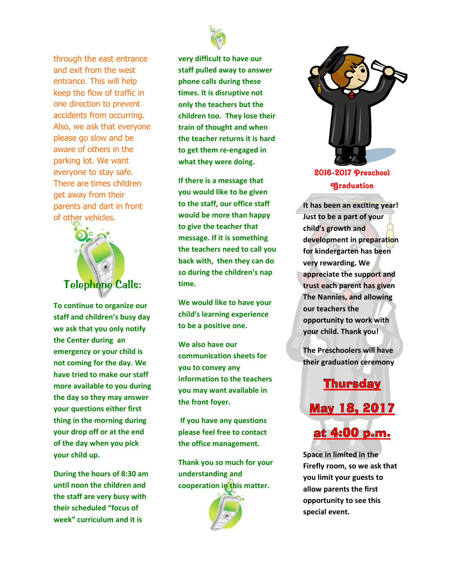through the east entrance and exit from the west entrance. This will help keep the flow of traffic in one direction to prevent accidents from occurring. Also, we ask that everyone please go slow and be aware of others in the parking lot. We want everyone to stay safe. There are times children get away from their parents and dart in front of other vehicles.



**To continue to organize our staff and children's busy day we ask that you only notify the Center during an emergency or your child is not coming for the day. We have tried to make our staff more available to you during the day so they may answer your questions either first thing in the morning during your drop off or at the end of the day when you pick your child up.**

**During the hours of 8:30 am until noon the children and the staff are very busy with their scheduled "focus of week" curriculum and it is**



**very difficult to have our staff pulled away to answer phone calls during these times. It is disruptive not only the teachers but the children too. They lose their train of thought and when the teacher returns it is hard to get them re-engaged in what they were doing.**

**If there is a message that you would like to be given to the staff, our office staff would be more than happy to give the teacher that message. If it is something the teachers need to call you back with, then they can do so during the children's nap time.**

**We would like to have your child's learning experience to be a positive one.**

**We also have our communication sheets for you to convey any information to the teachers you may want available in the front foyer.**

**If you have any questions please feel free to contact the office management.**

**Thank you so much for your understanding and cooperation in this matter.**





2016-2017 Preschool **Graduation** 

**It has been an exciting year! Just to be a part of your child's growth and development in preparation for kindergarten has been very rewarding. We appreciate the support and trust each parent has given The Nannies, and allowing our teachers the opportunity to work with your child. Thank you!**

**The Preschoolers will have their graduation ceremony**

## **Thursday**

**May 18, 2017**



**Space in limited in the Firefly room, so we ask that you limit your guests to allow parents the first opportunity to see this special event.**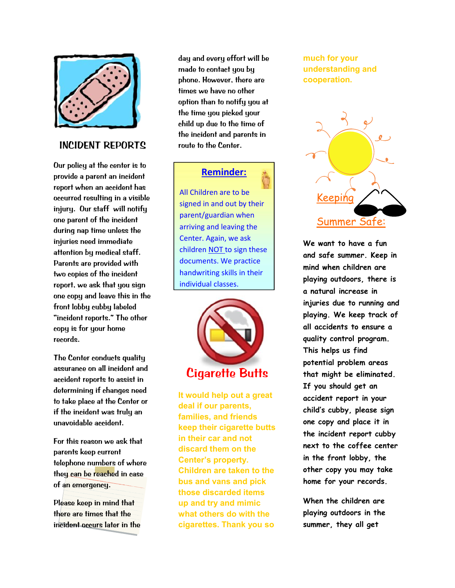

#### INCIDENT REPORTS

Our policy at the center is to provide a parent an incident report when an accident has occurred resulting in a visible injury. Our staff will notify one parent of the incident during nap time unless the injuries need immediate attention by medical staff. Parents are provided with two copies of the incident report, we ask that you sign one copy and leave this in the front lobby cubby labeled "incident reports." The other copy is for your home records.

The Center conducts quality assurance on all incident and accident reports to assist in determining if changes need to take place at the Center or if the incident was truly an unavoidable accident.

For this reason we ask that parents keep current telephone numbers of where they can be reached in case of an emergency.

Please keep in mind that there are times that the incident occurs later in the day and every effort will be made to contact you by phone. However, there are times we have no other option than to notify you at the time you picked your child up due to the time of the incident and parents in route to the Center.

#### **Reminder:**

All Children are to be signed in and out by their parent/guardian when arriving and leaving the Center. Again, we ask children NOT to sign these documents. We practice handwriting skills in their individual classes.



**It would help out a great deal if our parents, families, and friends keep their cigarette butts in their car and not discard them on the Center's property. Children are taken to the bus and vans and pick those discarded items up and try and mimic what others do with the cigarettes. Thank you so**

**much for your understanding and cooperation.**



**We want to have a fun and safe summer. Keep in mind when children are playing outdoors, there is a natural increase in injuries due to running and playing. We keep track of all accidents to ensure a quality control program. This helps us find potential problem areas that might be eliminated. If you should get an accident report in your child's cubby, please sign one copy and place it in the incident report cubby next to the coffee center in the front lobby, the other copy you may take home for your records.**

**When the children are playing outdoors in the summer, they all get**